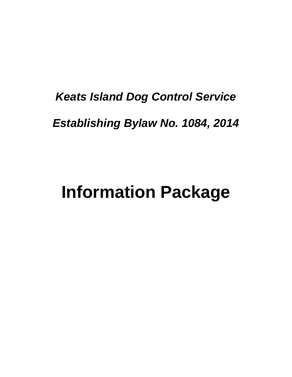# *Keats Island Dog Control Service Establishing Bylaw No. 1084, 2014*

# **Information Package**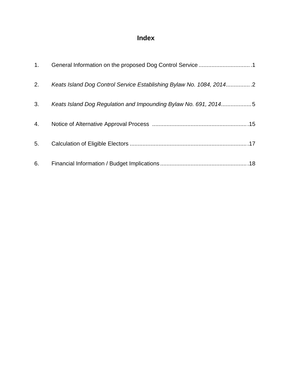# **Index**

| 1. |                                                                     |
|----|---------------------------------------------------------------------|
| 2. | Keats Island Dog Control Service Establishing Bylaw No. 1084, 20142 |
| 3. | Keats Island Dog Regulation and Impounding Bylaw No. 691, 20145     |
| 4. |                                                                     |
| 5. |                                                                     |
| 6. |                                                                     |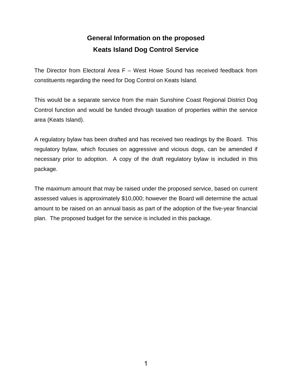# **General Information on the proposed Keats Island Dog Control Service**

The Director from Electoral Area F – West Howe Sound has received feedback from constituents regarding the need for Dog Control on Keats Island.

This would be a separate service from the main Sunshine Coast Regional District Dog Control function and would be funded through taxation of properties within the service area (Keats Island).

A regulatory bylaw has been drafted and has received two readings by the Board. This regulatory bylaw, which focuses on aggressive and vicious dogs, can be amended if necessary prior to adoption. A copy of the draft regulatory bylaw is included in this package.

The maximum amount that may be raised under the proposed service, based on current assessed values is approximately \$10,000; however the Board will determine the actual amount to be raised on an annual basis as part of the adoption of the five-year financial plan. The proposed budget for the service is included in this package.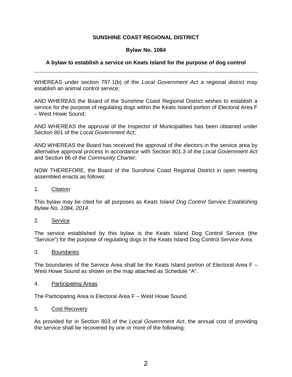#### **SUNSHINE COAST REGIONAL DISTRICT**

#### **Bylaw No. 1084**

#### **A bylaw to establish a service on Keats Island for the purpose of dog control**

WHEREAS under section 797.1(b) of the *Local Government Act* a regional district may establish an animal control service;

AND WHEREAS the Board of the Sunshine Coast Regional District wishes to establish a service for the purpose of regulating dogs within the Keats Island portion of Electoral Area F – West Howe Sound;

AND WHEREAS the approval of the Inspector of Municipalities has been obtained under Section 801 of the *Local Government Act*;

AND WHEREAS the Board has received the approval of the electors in the service area by alternative approval process in accordance with Section 801.3 of the *Local Government Act* and Section 86 of the *Community Charter*;

NOW THEREFORE, the Board of the Sunshine Coast Regional District in open meeting assembled enacts as follows:

1. Citation

This bylaw may be cited for all purposes as *Keats Island Dog Control Service Establishing Bylaw No. 1084, 2014*.

2. Service

The service established by this bylaw is the Keats Island Dog Control Service (the "Service") for the purpose of regulating dogs in the Keats Island Dog Control Service Area.

3. Boundaries

The boundaries of the Service Area shall be the Keats Island portion of Electoral Area F – West Howe Sound as shown on the map attached as Schedule "A".

4. Participating Areas

The Participating Area is Electoral Area F – West Howe Sound.

5. Cost Recovery

As provided for in Section 803 of the *Local Government Act*, the annual cost of providing the service shall be recovered by one or more of the following: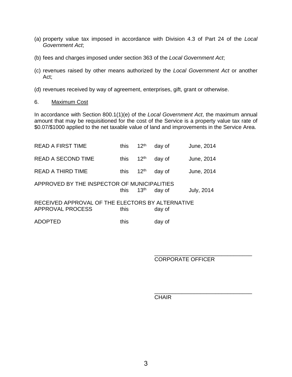- (a) property value tax imposed in accordance with Division 4.3 of Part 24 of the *Local Government Act*;
- (b) fees and charges imposed under section 363 of the *Local Government Act*;
- (c) revenues raised by other means authorized by the *Local Government Act* or another Act;
- (d) revenues received by way of agreement, enterprises, gift, grant or otherwise.
- 6. Maximum Cost

In accordance with Section 800.1(1)(e) of the *Local Government Act*, the maximum annual amount that may be requisitioned for the cost of the Service is a property value tax rate of \$0.07/\$1000 applied to the net taxable value of land and improvements in the Service Area.

| <b>READ A FIRST TIME</b>                                             | this | 12 <sup>th</sup> | day of | June, 2014        |
|----------------------------------------------------------------------|------|------------------|--------|-------------------|
| <b>READ A SECOND TIME</b>                                            | this | 12 <sup>th</sup> | day of | June, 2014        |
| <b>READ A THIRD TIME</b>                                             | this | 12 <sup>th</sup> | day of | June, 2014        |
| APPROVED BY THE INSPECTOR OF MUNICIPALITIES                          | this | 13 <sup>th</sup> | day of | <b>July, 2014</b> |
| RECEIVED APPROVAL OF THE ELECTORS BY ALTERNATIVE<br>APPROVAL PROCESS | this |                  | day of |                   |
| ADOPTED                                                              | this |                  | day of |                   |

 $\overline{\phantom{a}}$  , and the contract of the contract of the contract of the contract of the contract of the contract of the contract of the contract of the contract of the contract of the contract of the contract of the contrac CORPORATE OFFICER

**CHAIR** 

 $\frac{1}{\sqrt{2\pi}}$  , which is a set of the set of the set of the set of the set of the set of the set of the set of the set of the set of the set of the set of the set of the set of the set of the set of the set of the set of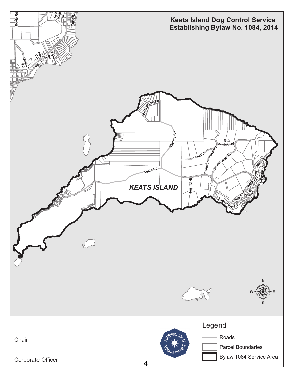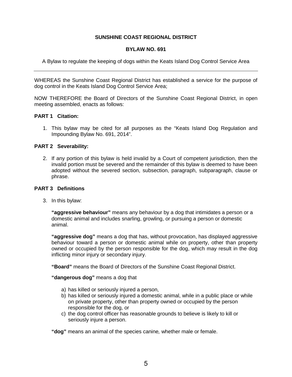#### **SUNSHINE COAST REGIONAL DISTRICT**

#### **BYLAW NO. 691**

A Bylaw to regulate the keeping of dogs within the Keats Island Dog Control Service Area

WHEREAS the Sunshine Coast Regional District has established a service for the purpose of dog control in the Keats Island Dog Control Service Area;

NOW THEREFORE the Board of Directors of the Sunshine Coast Regional District, in open meeting assembled, enacts as follows:

#### **PART 1 Citation:**

1. This bylaw may be cited for all purposes as the "Keats Island Dog Regulation and Impounding Bylaw No. 691, 2014".

#### **PART 2 Severability:**

2. If any portion of this bylaw is held invalid by a Court of competent jurisdiction, then the invalid portion must be severed and the remainder of this bylaw is deemed to have been adopted without the severed section, subsection, paragraph, subparagraph, clause or phrase.

#### **PART 3 Definitions**

3. In this bylaw:

**"aggressive behaviour"** means any behaviour by a dog that intimidates a person or a domestic animal and includes snarling, growling, or pursuing a person or domestic animal.

**"aggressive dog"** means a dog that has, without provocation, has displayed aggressive behaviour toward a person or domestic animal while on property, other than property owned or occupied by the person responsible for the dog, which may result in the dog inflicting minor injury or secondary injury.

**"Board"** means the Board of Directors of the Sunshine Coast Regional District.

**"dangerous dog"** means a dog that

- a) has killed or seriously injured a person,
- b) has killed or seriously injured a domestic animal, while in a public place or while on private property, other than property owned or occupied by the person responsible for the dog, or
- c) the dog control officer has reasonable grounds to believe is likely to kill or seriously injure a person.

**"dog"** means an animal of the species canine*,* whether male or female.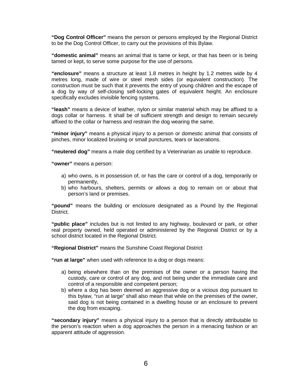**"Dog Control Officer"** means the person or persons employed by the Regional District to be the Dog Control Officer, to carry out the provisions of this Bylaw.

**"domestic animal"** means an animal that is tame or kept, or that has been or is being tamed or kept, to serve some purpose for the use of persons.

**"enclosure"** means a structure at least 1.8 metres in height by 1.2 metres wide by 4 metres long, made of wire or steel mesh sides (or equivalent construction). The construction must be such that it prevents the entry of young children and the escape of a dog by way of self-closing self-locking gates of equivalent height. An enclosure specifically excludes invisible fencing systems.

**"leash"** means a device of leather, nylon or similar material which may be affixed to a dogs collar or harness. It shall be of sufficient strength and design to remain securely affixed to the collar or harness and restrain the dog wearing the same.

**"minor injury"** means a physical injury to a person or domestic animal that consists of pinches, minor localized bruising or small punctures, tears or lacerations.

**"neutered dog"** means a male dog certified by a Veterinarian as unable to reproduce.

**"owner"** means a person:

- a) who owns, is in possession of, or has the care or control of a dog, temporarily or permanently,
- b) who harbours, shelters, permits or allows a dog to remain on or about that person's land or premises.

**"pound"** means the building or enclosure designated as a Pound by the Regional District.

**"public place"** includes but is not limited to any highway, boulevard or park, or other real property owned, held operated or administered by the Regional District or by a school district located in the Regional District.

**"Regional District"** means the Sunshine Coast Regional District

**"run at large"** when used with reference to a dog or dogs means:

- a) being elsewhere than on the premises of the owner or a person having the custody, care or control of any dog, and not being under the immediate care and control of a responsible and competent person;
- b) where a dog has been deemed an aggressive dog or a vicious dog pursuant to this bylaw, "run at large" shall also mean that while on the premises of the owner, said dog is not being contained in a dwelling house or an enclosure to prevent the dog from escaping.

**"secondary injury"** means a physical injury to a person that is directly attributable to the person's reaction when a dog approaches the person in a menacing fashion or an apparent attitude of aggression.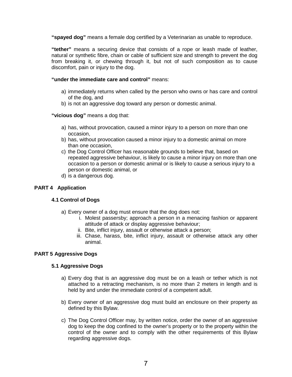**"spayed dog"** means a female dog certified by a Veterinarian as unable to reproduce.

**"tether"** means a securing device that consists of a rope or leash made of leather, natural or synthetic fibre, chain or cable of sufficient size and strength to prevent the dog from breaking it, or chewing through it, but not of such composition as to cause discomfort, pain or injury to the dog.

#### **"under the immediate care and control"** means:

- a) immediately returns when called by the person who owns or has care and control of the dog, and
- b) is not an aggressive dog toward any person or domestic animal.

**"vicious dog"** means a dog that:

- a) has, without provocation, caused a minor injury to a person on more than one occasion,
- b) has, without provocation caused a minor injury to a domestic animal on more than one occasion,
- c) the Dog Control Officer has reasonable grounds to believe that, based on repeated aggressive behaviour, is likely to cause a minor injury on more than one occasion to a person or domestic animal or is likely to cause a serious injury to a person or domestic animal, or
- d) is a dangerous dog.

#### **PART 4 Application**

#### **4.1 Control of Dogs**

- a) Every owner of a dog must ensure that the dog does not:
	- i. Molest passersby; approach a person in a menacing fashion or apparent attitude of attack or display aggressive behaviour;
	- ii. Bite, inflict injury, assault or otherwise attack a person;
	- iii. Chase, harass, bite, inflict injury, assault or otherwise attack any other animal.

#### **PART 5 Aggressive Dogs**

#### **5.1 Aggressive Dogs**

- a) Every dog that is an aggressive dog must be on a leash or tether which is not attached to a retracting mechanism, is no more than 2 meters in length and is held by and under the immediate control of a competent adult.
- b) Every owner of an aggressive dog must build an enclosure on their property as defined by this Bylaw.
- c) The Dog Control Officer may, by written notice, order the owner of an aggressive dog to keep the dog confined to the owner's property or to the property within the control of the owner and to comply with the other requirements of this Bylaw regarding aggressive dogs.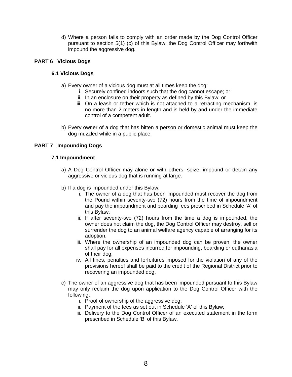d) Where a person fails to comply with an order made by the Dog Control Officer pursuant to section 5(1) (c) of this Bylaw, the Dog Control Officer may forthwith impound the aggressive dog.

#### **PART 6 Vicious Dogs**

#### **6.1 Vicious Dogs**

- a) Every owner of a vicious dog must at all times keep the dog:
	- i. Securely confined indoors such that the dog cannot escape; or
	- ii. In an enclosure on their property as defined by this Bylaw; or
	- iii. On a leash or tether which is not attached to a retracting mechanism, is no more than 2 meters in length and is held by and under the immediate control of a competent adult.
- b) Every owner of a dog that has bitten a person or domestic animal must keep the dog muzzled while in a public place.

#### **PART 7 Impounding Dogs**

#### **7.1 Impoundment**

- a) A Dog Control Officer may alone or with others, seize, impound or detain any aggressive or vicious dog that is running at large.
- b) If a dog is impounded under this Bylaw:
	- i. The owner of a dog that has been impounded must recover the dog from the Pound within seventy-two (72) hours from the time of impoundment and pay the impoundment and boarding fees prescribed in Schedule 'A' of this Bylaw;
	- ii. If after seventy-two (72) hours from the time a dog is impounded, the owner does not claim the dog, the Dog Control Officer may destroy, sell or surrender the dog to an animal welfare agency capable of arranging for its adoption.
	- iii. Where the ownership of an impounded dog can be proven, the owner shall pay for all expenses incurred for impounding, boarding or euthanasia of their dog.
	- iv. All fines, penalties and forfeitures imposed for the violation of any of the provisions hereof shall be paid to the credit of the Regional District prior to recovering an impounded dog.
- c) The owner of an aggressive dog that has been impounded pursuant to this Bylaw may only reclaim the dog upon application to the Dog Control Officer with the following:
	- i. Proof of ownership of the aggressive dog;
	- ii. Payment of the fees as set out in Schedule 'A' of this Bylaw;
	- iii. Delivery to the Dog Control Officer of an executed statement in the form prescribed in Schedule 'B' of this Bylaw.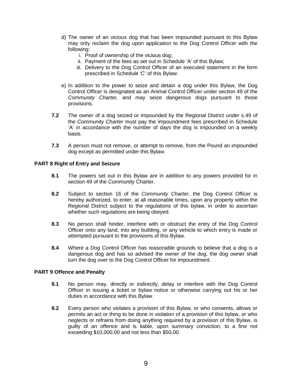- d) The owner of an vicious dog that has been impounded pursuant to this Bylaw may only reclaim the dog upon application to the Dog Control Officer with the following:
	- i. Proof of ownership of the vicious dog;
	- ii. Payment of the fees as set out in Schedule 'A' of this Bylaw;
	- iii. Delivery to the Dog Control Officer of an executed statement in the form prescribed in Schedule 'C' of this Bylaw.
- e) In addition to the power to seize and detain a dog under this Bylaw, the Dog Control Officer is designated as an Animal Control Officer under section 49 of the *Community Charter,* and may seize dangerous dogs pursuant to those provisions.
- **7.2** The owner of a dog seized or impounded by the Regional District under s.49 of the *Community Charter* must pay the impoundment fees prescribed in Schedule 'A' in accordance with the number of days the dog is impounded on a weekly basis.
- **7.3** A person must not remove, or attempt to remove, from the Pound an impounded dog except as permitted under this Bylaw.

#### **PART 8 Right of Entry and Seizure**

- **8.1** The powers set out in this Bylaw are in addition to any powers provided for in section 49 of the *Community* Charter.
- **8.2** Subject to section 16 of the *Community Charter*, the Dog Control Officer is hereby authorized, to enter, at all reasonable times, upon any property within the Regional District subject to the regulations of this bylaw, in order to ascertain whether such regulations are being obeyed.
- **8.3** No person shall hinder, interfere with or obstruct the entry of the Dog Control Officer onto any land, into any building, or any vehicle to which entry is made or attempted pursuant to the provisions of this Bylaw.
- **8.4** Where a Dog Control Officer has reasonable grounds to believe that a dog is a dangerous dog and has so advised the owner of the dog, the dog owner shall turn the dog over to the Dog Control Officer for impoundment.

#### **PART 9 Offence and Penalty**

- **9.1** No person may, directly or indirectly, delay or interfere with the Dog Control Officer in issuing a ticket or bylaw notice or otherwise carrying out his or her duties in accordance with this Bylaw.
- **9.2** Every person who violates a provision of this Bylaw, or who consents, allows or permits an act or thing to be done in violation of a provision of this bylaw, or who neglects or refrains from doing anything required by a provision of this Bylaw, is guilty of an offence and is liable, upon summary conviction, to a fine not exceeding \$10,000.00 and not less than \$50.00.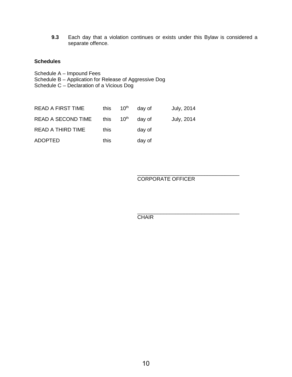**9.3** Each day that a violation continues or exists under this Bylaw is considered a separate offence.

#### **Schedules**

- Schedule A Impound Fees
- Schedule B Application for Release of Aggressive Dog
- Schedule C Declaration of a Vicious Dog

| <b>READ A FIRST TIME</b> | this | $10^{\text{th}}$      | day of | July, 2014 |
|--------------------------|------|-----------------------|--------|------------|
| READ A SECOND TIME       |      | this 10 <sup>th</sup> | day of | July, 2014 |
| READ A THIRD TIME        | this |                       | day of |            |
| <b>ADOPTED</b>           | this |                       | day of |            |

#### CORPORATE OFFICER

 $\overline{\phantom{a}}$  , and the contract of the contract of the contract of the contract of the contract of the contract of the contract of the contract of the contract of the contract of the contract of the contract of the contrac CHAIR

 $\frac{1}{\sqrt{2}}$  ,  $\frac{1}{\sqrt{2}}$  ,  $\frac{1}{\sqrt{2}}$  ,  $\frac{1}{\sqrt{2}}$  ,  $\frac{1}{\sqrt{2}}$  ,  $\frac{1}{\sqrt{2}}$  ,  $\frac{1}{\sqrt{2}}$  ,  $\frac{1}{\sqrt{2}}$  ,  $\frac{1}{\sqrt{2}}$  ,  $\frac{1}{\sqrt{2}}$  ,  $\frac{1}{\sqrt{2}}$  ,  $\frac{1}{\sqrt{2}}$  ,  $\frac{1}{\sqrt{2}}$  ,  $\frac{1}{\sqrt{2}}$  ,  $\frac{1}{\sqrt{2}}$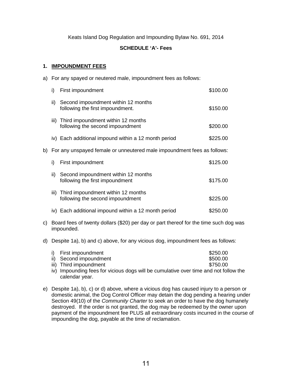Keats Island Dog Regulation and Impounding Bylaw No. 691, 2014

#### **SCHEDULE 'A'- Fees**

#### **1. IMPOUNDMENT FEES**

a) For any spayed or neutered male, impoundment fees as follows:

|     | i)                                                                                                                                                         | First impoundment                                                           | \$100.00 |
|-----|------------------------------------------------------------------------------------------------------------------------------------------------------------|-----------------------------------------------------------------------------|----------|
|     | ii)                                                                                                                                                        | Second impoundment within 12 months<br>following the first impoundment.     | \$150.00 |
|     |                                                                                                                                                            | iii) Third impoundment within 12 months<br>following the second impoundment | \$200.00 |
|     |                                                                                                                                                            |                                                                             | \$225.00 |
| b). | iv) Each additional impound within a 12 month period<br>For any unspayed female or unneutered male impoundment fees as follows:<br>i)<br>First impoundment |                                                                             |          |
|     |                                                                                                                                                            |                                                                             | \$125.00 |
|     | ii)                                                                                                                                                        | Second impoundment within 12 months<br>following the first impoundment      | \$175.00 |
|     |                                                                                                                                                            | iii) Third impoundment within 12 months<br>following the second impoundment | \$225.00 |
|     | IV)                                                                                                                                                        | Each additional impound within a 12 month period                            | \$250.00 |
|     |                                                                                                                                                            |                                                                             |          |

- c) Board fees of twenty dollars (\$20) per day or part thereof for the time such dog was impounded.
- d) Despite 1a), b) and c) above, for any vicious dog, impoundment fees as follows:

| i) First impoundment                                                                                 | \$250.00 |
|------------------------------------------------------------------------------------------------------|----------|
| ii) Second impoundment                                                                               | \$500.00 |
| iii) Third impoundment                                                                               | \$750.00 |
| والمليامور امعرم ومعنا يروريون وببناط المسربون والنبرز ومواصر ورزونا ومراقب بواقع والمعربون والمسرور |          |

- iv) Impounding fees for vicious dogs will be cumulative over time and not follow the calendar year.
- e) Despite 1a), b), c) or d) above, where a vicious dog has caused injury to a person or domestic animal, the Dog Control Officer may detain the dog pending a hearing under Section 49(10) of the *Community Charter* to seek an order to have the dog humanely destroyed. If the order is not granted, the dog may be redeemed by the owner upon payment of the impoundment fee PLUS all extraordinary costs incurred in the course of impounding the dog, payable at the time of reclamation.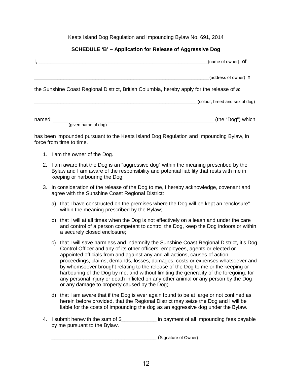#### Keats Island Dog Regulation and Impounding Bylaw No. 691, 2014

#### **SCHEDULE 'B' – Application for Release of Aggressive Dog**

|                               | (name of owner), Of                                                                        |
|-------------------------------|--------------------------------------------------------------------------------------------|
|                               | (address of owner) in                                                                      |
|                               | the Sunshine Coast Regional District, British Columbia, hereby apply for the release of a: |
|                               | (colour, breed and sex of dog)                                                             |
| named:<br>(given name of dog) | (the "Dog") which                                                                          |

has been impounded pursuant to the Keats Island Dog Regulation and Impounding Bylaw, in force from time to time.

- 1. I am the owner of the Dog.
- 2. I am aware that the Dog is an "aggressive dog" within the meaning prescribed by the Bylaw and I am aware of the responsibility and potential liability that rests with me in keeping or harbouring the Dog.
- 3. In consideration of the release of the Dog to me, I hereby acknowledge, covenant and agree with the Sunshine Coast Regional District:
	- a) that I have constructed on the premises where the Dog will be kept an "enclosure" within the meaning prescribed by the Bylaw;
	- b) that I will at all times when the Dog is not effectively on a leash and under the care and control of a person competent to control the Dog, keep the Dog indoors or within a securely closed enclosure;
	- c) that I will save harmless and indemnify the Sunshine Coast Regional District, it's Dog Control Officer and any of its other officers, employees, agents or elected or appointed officials from and against any and all actions, causes of action proceedings, claims, demands, losses, damages, costs or expenses whatsoever and by whomsoever brought relating to the release of the Dog to me or the keeping or harbouring of the Dog by me, and without limiting the generality of the foregoing, for any personal injury or death inflicted on any other animal or any person by the Dog or any damage to property caused by the Dog;
	- d) that I am aware that if the Dog is ever again found to be at large or not confined as herein before provided, that the Regional District may seize the Dog and I will be liable for the costs of impounding the dog as an aggressive dog under the Bylaw.
- 4. I submit herewith the sum of \$\_\_\_\_\_\_\_\_\_\_\_\_\_ in payment of all impounding fees payable by me pursuant to the Bylaw.

\_\_\_\_\_\_\_\_\_\_\_\_\_\_\_\_\_\_\_\_\_\_\_\_\_\_\_\_\_\_\_\_\_\_\_\_ (Signature of Owner)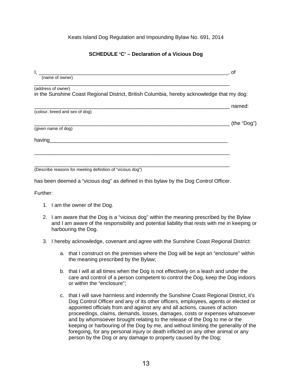Keats Island Dog Regulation and Impounding Bylaw No. 691, 2014

#### **SCHEDULE 'C' – Declaration of a Vicious Dog**

| Ι.                                                                                         | . of        |
|--------------------------------------------------------------------------------------------|-------------|
| (name of owner)                                                                            |             |
| (address of owner)                                                                         |             |
| in the Sunshine Coast Regional District, British Columbia, hereby acknowledge that my dog: |             |
|                                                                                            | named:      |
| (colour, breed and sex of dog)                                                             |             |
|                                                                                            | (the "Dog") |
| (given name of dog)                                                                        |             |
| having                                                                                     |             |
|                                                                                            |             |
|                                                                                            |             |
| (Describe reasons for meeting definition of "vicious dog")                                 |             |

has been deemed a "vicious dog" as defined in this bylaw by the Dog Control Officer.

Further:

- 1. I am the owner of the Dog.
- 2. I am aware that the Dog is a "vicious dog" within the meaning prescribed by the Bylaw and I am aware of the responsibility and potential liability that rests with me in keeping or harbouring the Dog.
- 3. I hereby acknowledge, covenant and agree with the Sunshine Coast Regional District:
	- a. that I construct on the premises where the Dog will be kept an "enclosure" within the meaning prescribed by the Bylaw;
	- b. that I will at all times when the Dog is not effectively on a leash and under the care and control of a person competent to control the Dog, keep the Dog indoors or within the "enclosure";
	- c. that I will save harmless and indemnify the Sunshine Coast Regional District, it's Dog Control Officer and any of its other officers, employees, agents or elected or appointed officials from and against any and all actions, causes of action proceedings, claims, demands, losses, damages, costs or expenses whatsoever and by whomsoever brought relating to the release of the Dog to me or the keeping or harbouring of the Dog by me, and without limiting the generality of the foregoing, for any personal injury or death inflicted on any other animal or any person by the Dog or any damage to property caused by the Dog;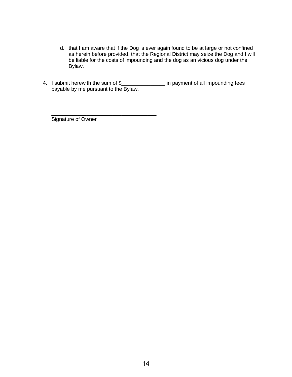- d. that I am aware that if the Dog is ever again found to be at large or not confined as herein before provided, that the Regional District may seize the Dog and I will be liable for the costs of impounding and the dog as an vicious dog under the Bylaw.
- 4. I submit herewith the sum of \$\_\_\_\_\_\_\_\_\_\_\_\_\_\_\_\_ in payment of all impounding fees payable by me pursuant to the Bylaw.

Signature of Owner

\_\_\_\_\_\_\_\_\_\_\_\_\_\_\_\_\_\_\_\_\_\_\_\_\_\_\_\_\_\_\_\_\_\_\_\_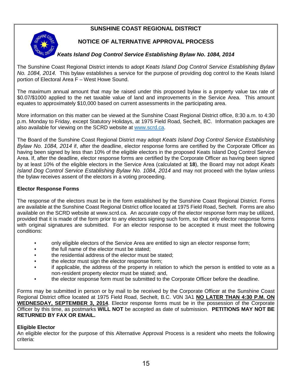### **SUNSHINE COAST REGIONAL DISTRICT**



### **NOTICE OF ALTERNATIVE APPROVAL PROCESS**

#### *Keats Island Dog Control Service Establishing Bylaw No. 1084, 2014*

The Sunshine Coast Regional District intends to adopt *Keats Island Dog Control Service Establishing Bylaw No. 1084, 2014.* This bylaw establishes a service for the purpose of providing dog control to the Keats Island portion of Electoral Area F – West Howe Sound.

The maximum annual amount that may be raised under this proposed bylaw is a property value tax rate of \$0.07/\$1000 applied to the net taxable value of land and improvements in the Service Area. This amount equates to approximately \$10,000 based on current assessments in the participating area.

More information on this matter can be viewed at the Sunshine Coast Regional District office, 8:30 a.m. to 4:30 p.m. Monday to Friday, except Statutory Holidays, at 1975 Field Road, Sechelt, BC. Information packages are also available for viewing on the SCRD website at [www.scrd.ca.](http://www.scrd.ca/)

The Board of the Sunshine Coast Regional District may adopt *Keats Island Dog Control Service Establishing Bylaw No. 1084, 2014* if, after the deadline, elector response forms are certified by the Corporate Officer as having been signed by less than 10% of the eligible electors in the proposed Keats Island Dog Control Service Area. If, after the deadline, elector response forms are certified by the Corporate Officer as having been signed by at least 10% of the eligible electors in the Service Area (calculated at **18**), the Board may not adopt *Keats Island Dog Control Service Establishing Bylaw No. 1084, 2014* and may not proceed with the bylaw unless the bylaw receives assent of the electors in a voting proceeding.

#### **Elector Response Forms**

The response of the electors must be in the form established by the Sunshine Coast Regional District. Forms are available at the Sunshine Coast Regional District office located at 1975 Field Road, Sechelt. Forms are also available on the SCRD website at www.scrd.ca. An accurate copy of the elector response form may be utilized, provided that it is made of the form prior to any electors signing such form, so that only elector response forms with original signatures are submitted. For an elector response to be accepted it must meet the following conditions:

- only eligible electors of the Service Area are entitled to sign an elector response form;
- the full name of the elector must be stated;
- the residential address of the elector must be stated;
- the elector must sign the elector response form;
- if applicable, the address of the property in relation to which the person is entitled to vote as a non-resident property elector must be stated; and,
- the elector response form must be submitted to the Corporate Officer before the deadline.

Forms may be submitted in person or by mail to be received by the Corporate Officer at the Sunshine Coast Regional District office located at 1975 Field Road, Sechelt, B.C. V0N 3A1 **NO LATER THAN 4:30 P.M. ON WEDNESDAY, SEPTEMBER 3, 2014**. Elector response forms must be in the possession of the Corporate Officer by this time, as postmarks **WILL NOT** be accepted as date of submission. **PETITIONS MAY NOT BE RETURNED BY FAX OR EMAIL.** 

#### **Eligible Elector**

An eligible elector for the purpose of this Alternative Approval Process is a resident who meets the following criteria: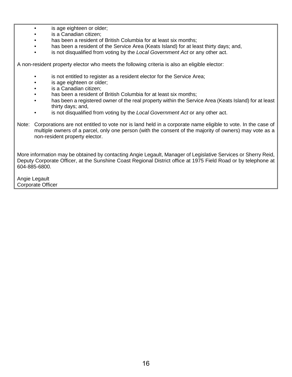- is age eighteen or older;
- is a Canadian citizen;
- has been a resident of British Columbia for at least six months;
- has been a resident of the Service Area (Keats Island) for at least thirty days; and,
- is not disqualified from voting by the *Local Government Act* or any other act.

A non-resident property elector who meets the following criteria is also an eligible elector:

- is not entitled to register as a resident elector for the Service Area;
- is age eighteen or older;
- is a Canadian citizen:
- has been a resident of British Columbia for at least six months;
- has been a registered owner of the real property within the Service Area (Keats Island) for at least thirty days; and,
- is not disqualified from voting by the *Local Government Act* or any other act.
- Note: Corporations are not entitled to vote nor is land held in a corporate name eligible to vote. In the case of multiple owners of a parcel, only one person (with the consent of the majority of owners) may vote as a non-resident property elector.

More information may be obtained by contacting Angie Legault, Manager of Legislative Services or Sherry Reid, Deputy Corporate Officer, at the Sunshine Coast Regional District office at 1975 Field Road or by telephone at 604-885-6800.

Angie Legault Corporate Officer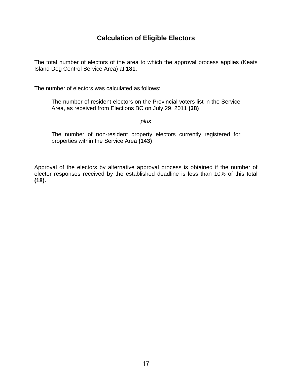## **Calculation of Eligible Electors**

The total number of electors of the area to which the approval process applies (Keats Island Dog Control Service Area) at **181**.

The number of electors was calculated as follows:

The number of resident electors on the Provincial voters list in the Service Area, as received from Elections BC on July 29, 2011 **(38)**

*plus*

The number of non-resident property electors currently registered for properties within the Service Area **(143)**

Approval of the electors by alternative approval process is obtained if the number of elector responses received by the established deadline is less than 10% of this total **(18).**